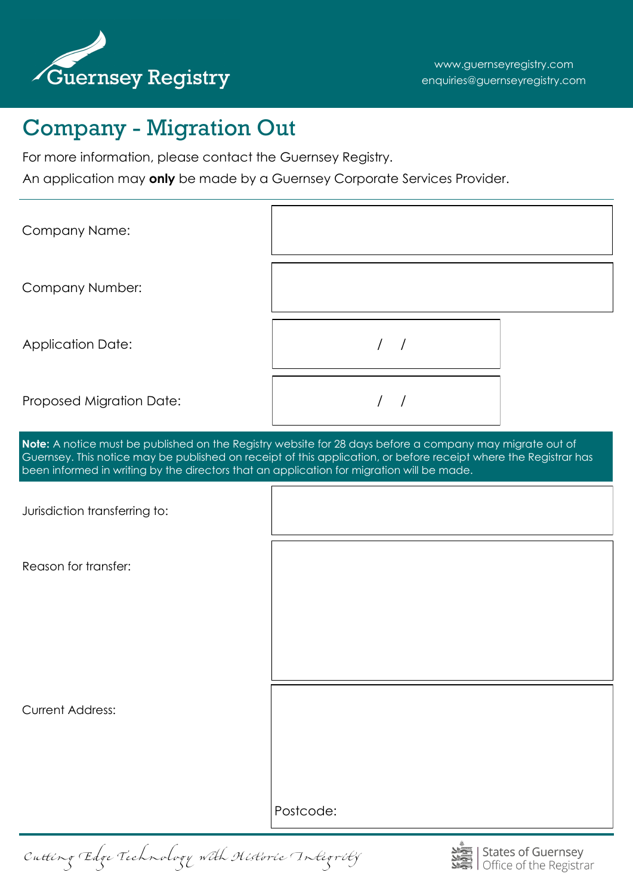

# Company - Migration Out

For more information, please contact the Guernsey Registry.

An application may **only** be made by a Guernsey Corporate Services Provider.

| Company Name:                                                                                                                                                                                                                                                                                                             |           |  |
|---------------------------------------------------------------------------------------------------------------------------------------------------------------------------------------------------------------------------------------------------------------------------------------------------------------------------|-----------|--|
| Company Number:                                                                                                                                                                                                                                                                                                           |           |  |
| <b>Application Date:</b>                                                                                                                                                                                                                                                                                                  | 1/        |  |
| Proposed Migration Date:                                                                                                                                                                                                                                                                                                  | $/$ $/$   |  |
| Note: A notice must be published on the Registry website for 28 days before a company may migrate out of<br>Guernsey. This notice may be published on receipt of this application, or before receipt where the Registrar has<br>been informed in writing by the directors that an application for migration will be made. |           |  |
| Jurisdiction transferring to:                                                                                                                                                                                                                                                                                             |           |  |
| Reason for transfer:                                                                                                                                                                                                                                                                                                      |           |  |
|                                                                                                                                                                                                                                                                                                                           |           |  |
|                                                                                                                                                                                                                                                                                                                           |           |  |
| <b>Current Address:</b>                                                                                                                                                                                                                                                                                                   |           |  |
|                                                                                                                                                                                                                                                                                                                           |           |  |
|                                                                                                                                                                                                                                                                                                                           | Postcode: |  |

Cutting Edge Technology with Historic Integrity

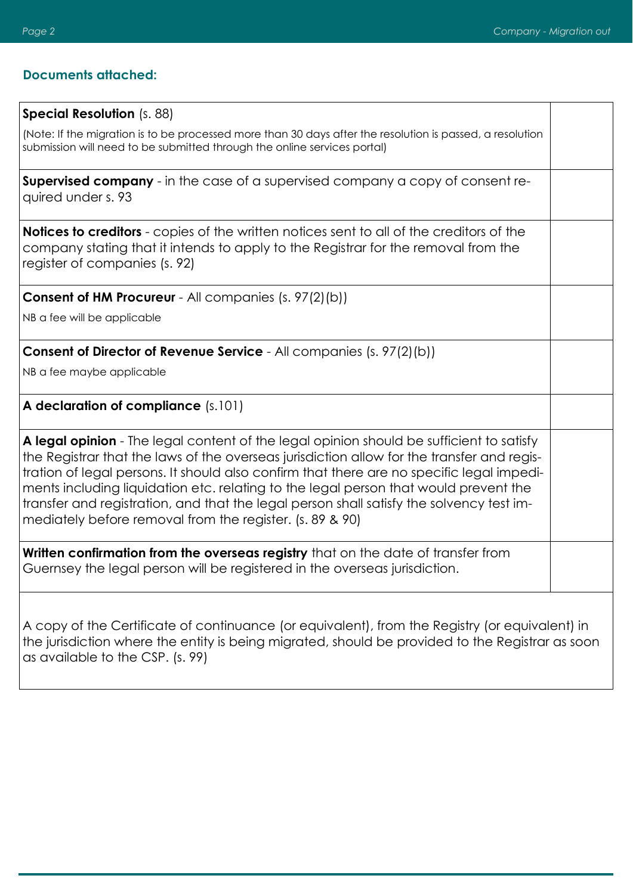#### **Documents attached:**

#### **Special Resolution** (s. 88)

(Note: If the migration is to be processed more than 30 days after the resolution is passed, a resolution submission will need to be submitted through the online services portal)

**Supervised company** - in the case of a supervised company a copy of consent required under s. 93

**Notices to creditors** - copies of the written notices sent to all of the creditors of the company stating that it intends to apply to the Registrar for the removal from the register of companies (s. 92)

**Consent of HM Procureur** - All companies (s. 97(2)(b))

NB a fee will be applicable

**Consent of Director of Revenue Service** - All companies (s. 97(2)(b))

NB a fee maybe applicable

**A declaration of compliance** (s.101)

**A legal opinion** - The legal content of the legal opinion should be sufficient to satisfy the Registrar that the laws of the overseas jurisdiction allow for the transfer and registration of legal persons. It should also confirm that there are no specific legal impediments including liquidation etc. relating to the legal person that would prevent the transfer and registration, and that the legal person shall satisfy the solvency test immediately before removal from the register. (s. 89 & 90)

**Written confirmation from the overseas registry** that on the date of transfer from Guernsey the legal person will be registered in the overseas jurisdiction.

A copy of the Certificate of continuance (or equivalent), from the Registry (or equivalent) in the jurisdiction where the entity is being migrated, should be provided to the Registrar as soon as available to the CSP. (s. 99)